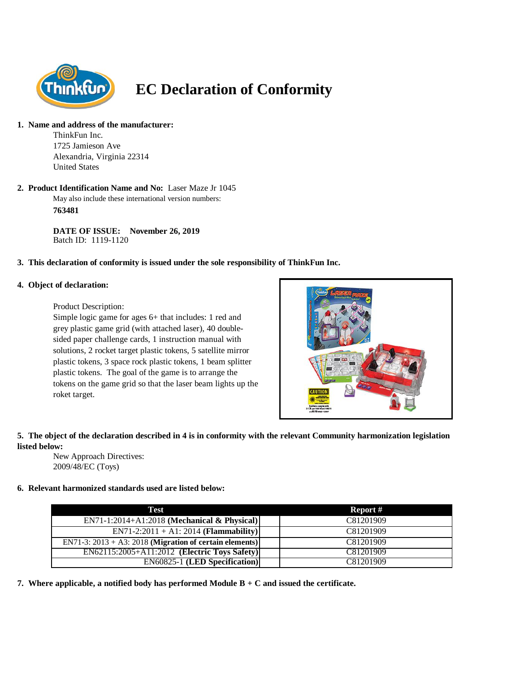

# **EC Declaration of Conformity**

### **1. Name and address of the manufacturer:**

ThinkFun Inc. 1725 Jamieson Ave Alexandria, Virginia 22314 United States

#### May also include these international version numbers: **2. Product Identification Name and No:** Laser Maze Jr 1045

**763481**

**DATE OF ISSUE: November 26, 2019** Batch ID: 1119-1120

### **3. This declaration of conformity is issued under the sole responsibility of ThinkFun Inc.**

### **4. Object of declaration:**

### Product Description:

Simple logic game for ages 6+ that includes: 1 red and grey plastic game grid (with attached laser), 40 doublesided paper challenge cards, 1 instruction manual with solutions, 2 rocket target plastic tokens, 5 satellite mirror plastic tokens, 3 space rock plastic tokens, 1 beam splitter plastic tokens. The goal of the game is to arrange the tokens on the game grid so that the laser beam lights up the roket target.



## **5. The object of the declaration described in 4 is in conformity with the relevant Community harmonization legislation listed below:**

New Approach Directives: 2009/48/EC (Toys)

### **6. Relevant harmonized standards used are listed below:**

| <b>Test</b>                                                | Report #  |
|------------------------------------------------------------|-----------|
| EN71-1:2014+A1:2018 (Mechanical & Physical)                | C81201909 |
| $EN71-2:2011 + A1:2014 (Flammaibility)$                    | C81201909 |
| EN71-3: $2013 + A3$ : 2018 (Migration of certain elements) | C81201909 |
| EN62115:2005+A11:2012 (Electric Toys Safety)               | C81201909 |
| <b>EN60825-1 (LED Specification)</b>                       | C81201909 |

**7. Where applicable, a notified body has performed Module B + C and issued the certificate.**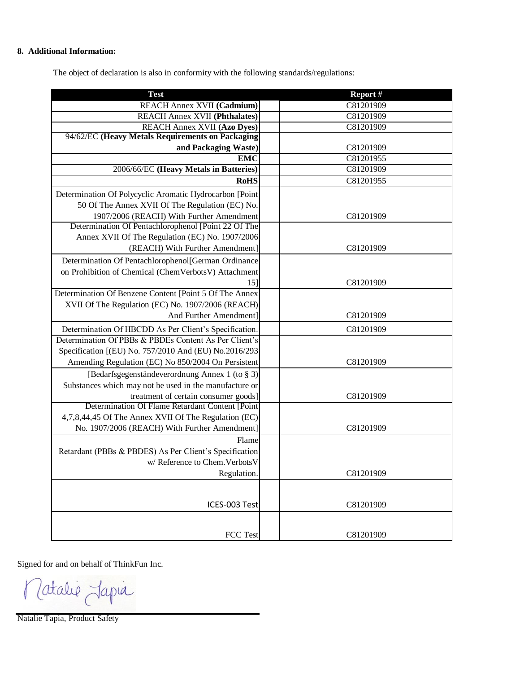#### **8. Additional Information:**

The object of declaration is also in conformity with the following standards/regulations:

| <b>Test</b>                                             | Report #  |
|---------------------------------------------------------|-----------|
| REACH Annex XVII (Cadmium)                              | C81201909 |
| <b>REACH Annex XVII (Phthalates)</b>                    | C81201909 |
| <b>REACH Annex XVII (Azo Dyes)</b>                      | C81201909 |
| 94/62/EC (Heavy Metals Requirements on Packaging        |           |
| and Packaging Waste)                                    | C81201909 |
| <b>EMC</b>                                              | C81201955 |
| 2006/66/EC (Heavy Metals in Batteries)                  | C81201909 |
| <b>RoHS</b>                                             | C81201955 |
| Determination Of Polycyclic Aromatic Hydrocarbon [Point |           |
| 50 Of The Annex XVII Of The Regulation (EC) No.         |           |
| 1907/2006 (REACH) With Further Amendment                | C81201909 |
| Determination Of Pentachlorophenol [Point 22 Of The     |           |
| Annex XVII Of The Regulation (EC) No. 1907/2006         |           |
| (REACH) With Further Amendment]                         | C81201909 |
| Determination Of Pentachlorophenol[German Ordinance     |           |
| on Prohibition of Chemical (ChemVerbotsV) Attachment    |           |
| 15]                                                     | C81201909 |
| Determination Of Benzene Content [Point 5 Of The Annex  |           |
| XVII Of The Regulation (EC) No. 1907/2006 (REACH)       |           |
| And Further Amendment]                                  | C81201909 |
| Determination Of HBCDD As Per Client's Specification.   | C81201909 |
| Determination Of PBBs & PBDEs Content As Per Client's   |           |
| Specification [(EU) No. 757/2010 And (EU) No.2016/293   |           |
| Amending Regulation (EC) No 850/2004 On Persistent      | C81201909 |
| [Bedarfsgegenständeverordnung Annex 1 (to § 3)]         |           |
| Substances which may not be used in the manufacture or  |           |
| treatment of certain consumer goods]                    | C81201909 |
| Determination Of Flame Retardant Content [Point]        |           |
| 4,7,8,44,45 Of The Annex XVII Of The Regulation (EC)    |           |
| No. 1907/2006 (REACH) With Further Amendment]           | C81201909 |
| Flame                                                   |           |
| Retardant (PBBs & PBDES) As Per Client's Specification  |           |
| w/ Reference to Chem. Verbots V                         |           |
| Regulation.                                             | C81201909 |
|                                                         |           |
|                                                         |           |
| ICES-003 Test                                           | C81201909 |
|                                                         |           |
| FCC Test                                                | C81201909 |
|                                                         |           |

Signed for and on behalf of ThinkFun Inc.

Latalue Japia  $\sqrt{2}$ 

Natalie Tapia, Product Safety